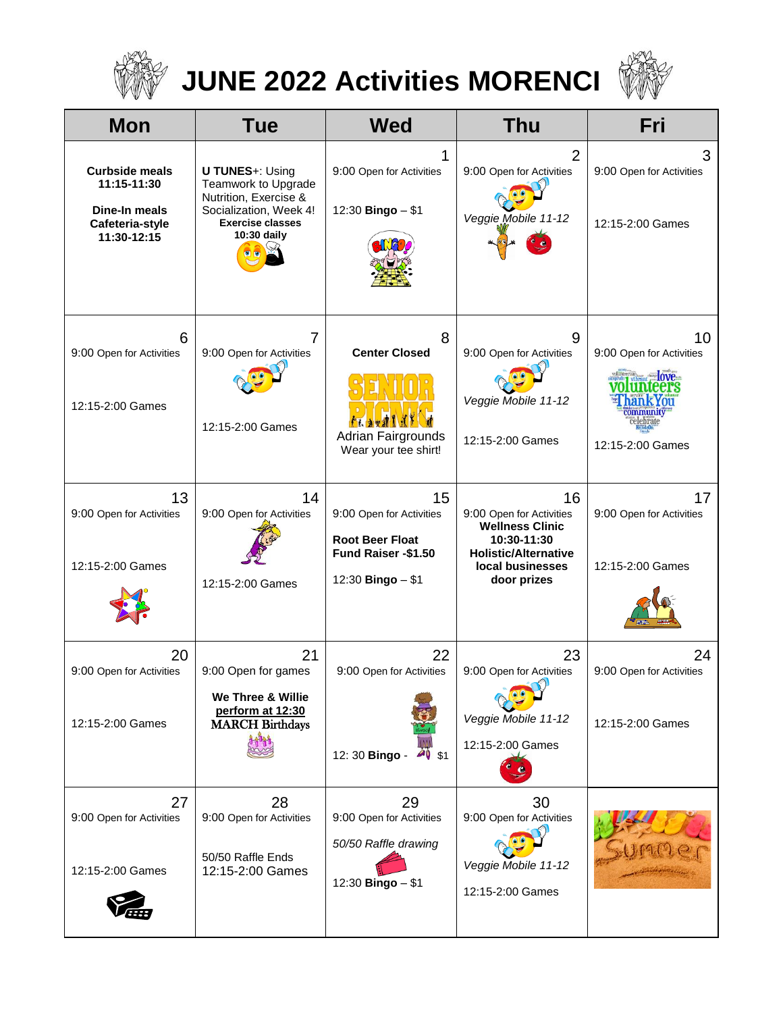

## **JUNE 2022 Activities MORENCI**



| <b>Mon</b>                                                                              | <b>Tue</b>                                                                                                                                 | <b>Wed</b>                                                                                           | <b>Thu</b>                                                                                                                                | Fri                                                                                                                 |
|-----------------------------------------------------------------------------------------|--------------------------------------------------------------------------------------------------------------------------------------------|------------------------------------------------------------------------------------------------------|-------------------------------------------------------------------------------------------------------------------------------------------|---------------------------------------------------------------------------------------------------------------------|
| <b>Curbside meals</b><br>11:15-11:30<br>Dine-In meals<br>Cafeteria-style<br>11:30-12:15 | <b>U TUNES+: Using</b><br>Teamwork to Upgrade<br>Nutrition, Exercise &<br>Socialization, Week 4!<br><b>Exercise classes</b><br>10:30 daily | 1<br>9:00 Open for Activities<br>12:30 Bingo - \$1                                                   | $\overline{2}$<br>9:00 Open for Activities<br>Veggie Mobile 11-12                                                                         | 3<br>9:00 Open for Activities<br>12:15-2:00 Games                                                                   |
| 6<br>9:00 Open for Activities<br>12:15-2:00 Games                                       | 9:00 Open for Activities<br>12:15-2:00 Games                                                                                               | 8<br><b>Center Closed</b><br><b>Adrian Fairgrounds</b><br>Wear your tee shirt!                       | 9<br>9:00 Open for Activities<br>Veggie Mobile 11-12<br>12:15-2:00 Games                                                                  | 10<br>9:00 Open for Activities<br>brant <b>love</b><br>eers<br>an k You<br>ommunity<br>elebrate<br>12:15-2:00 Games |
| 13<br>9:00 Open for Activities<br>12:15-2:00 Games                                      | 14<br>9:00 Open for Activities<br>12:15-2:00 Games                                                                                         | 15<br>9:00 Open for Activities<br><b>Root Beer Float</b><br>Fund Raiser -\$1.50<br>12:30 Bingo - \$1 | 16<br>9:00 Open for Activities<br><b>Wellness Clinic</b><br>10:30-11:30<br><b>Holistic/Alternative</b><br>local businesses<br>door prizes | 17<br>9:00 Open for Activities<br>12:15-2:00 Games                                                                  |
| 20<br>9:00 Open for Activities<br>12:15-2:00 Games                                      | 21<br>9:00 Open for games<br>We Three & Willie<br>perform at 12:30<br><b>MARCH Birthdays</b>                                               | 22<br>9:00 Open for Activities<br>12:30 Bingo -<br>$40$ \$1                                          | 23<br>9:00 Open for Activities<br>Veggie Mobile 11-12<br>12:15-2:00 Games                                                                 | 24<br>9:00 Open for Activities<br>12:15-2:00 Games                                                                  |
| 27<br>9:00 Open for Activities<br>12:15-2:00 Games                                      | 28<br>9:00 Open for Activities<br>50/50 Raffle Ends<br>12:15-2:00 Games                                                                    | 29<br>9:00 Open for Activities<br>50/50 Raffle drawing<br>12:30 Bingo - \$1                          | 30<br>9:00 Open for Activities<br>Veggie Mobile 11-12<br>12:15-2:00 Games                                                                 |                                                                                                                     |